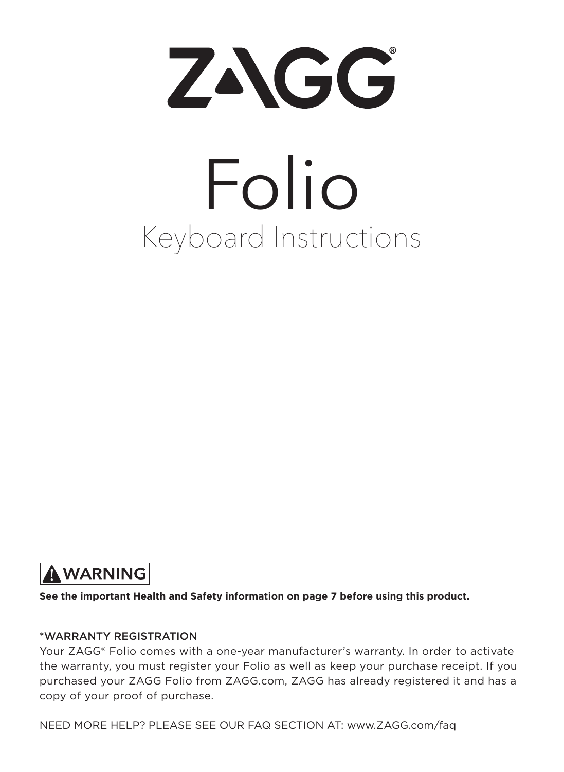

# Keyboard Instructions Folio



**See the important Health and Safety information on page 7 before using this product.**

#### \*WARRANTY REGISTRATION

Your ZAGG® Folio comes with a one-year manufacturer's warranty. In order to activate the warranty, you must register your Folio as well as keep your purchase receipt. If you purchased your ZAGG Folio from ZAGG.com, ZAGG has already registered it and has a copy of your proof of purchase.

NEED MORE HELP? PLEASE SEE OUR FAQ SECTION AT: www.ZAGG.com/faq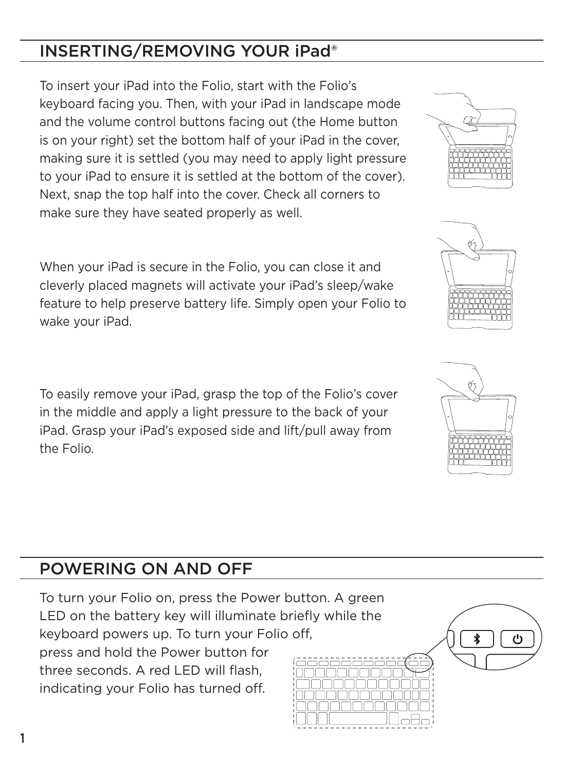#### INSERTING/REMOVING YOUR iPad®

To insert your iPad into the Folio, start with the Folio's keyboard facing you. Then, with your iPad in landscape mode and the volume control buttons facing out (the Home button is on your right) set the bottom half of your iPad in the cover, making sure it is settled (you may need to apply light pressure to your iPad to ensure it is settled at the bottom of the cover). Next, snap the top half into the cover. Check all corners to make sure they have seated properly as well.

When your iPad is secure in the Folio, you can close it and cleverly placed magnets will activate your iPad's sleep/wake feature to help preserve battery life. Simply open your Folio to wake your iPad.

To easily remove your iPad, grasp the top of the Folio's cover in the middle and apply a light pressure to the back of your iPad. Grasp your iPad's exposed side and lift/pull away from the Folio.

#### POWERING ON AND OFF

To turn your Folio on, press the Power button. A green LED on the battery key will illuminate briefly while the keyboard powers up. To turn your Folio off, press and hold the Power button for three seconds. A red LED will flash, indicating your Folio has turned off.





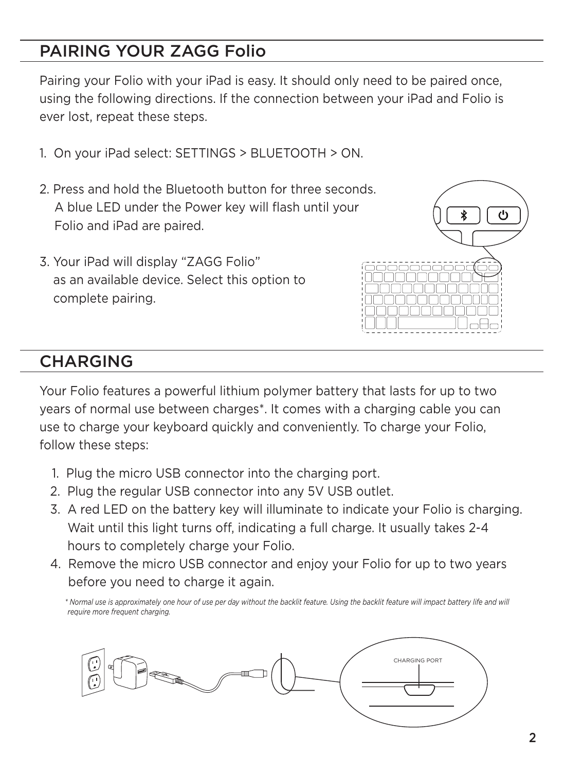#### PAIRING YOUR ZAGG Folio

Pairing your Folio with your iPad is easy. It should only need to be paired once, using the following directions. If the connection between your iPad and Folio is ever lost, repeat these steps.

- 1. On your iPad select: SETTINGS > BLUETOOTH > ON.
- 2. Press and hold the Bluetooth button for three seconds. A blue LED under the Power key will flash until your Folio and iPad are paired.
- 3. Your iPad will display "ZAGG Folio" as an available device. Select this option to complete pairing.



#### **CHARGING**

Your Folio features a powerful lithium polymer battery that lasts for up to two years of normal use between charges\*. It comes with a charging cable you can use to charge your keyboard quickly and conveniently. To charge your Folio, follow these steps:

- 1. Plug the micro USB connector into the charging port.
- 2. Plug the regular USB connector into any 5V USB outlet.
- 3. A red LED on the battery key will illuminate to indicate your Folio is charging. Wait until this light turns off, indicating a full charge. It usually takes 2-4 hours to completely charge your Folio.
- 4. Remove the micro USB connector and enjoy your Folio for up to two years before you need to charge it again.

 *\* Normal use is approximately one hour of use per day without the backlit feature. Using the backlit feature will impact battery life and will require more frequent charging.*

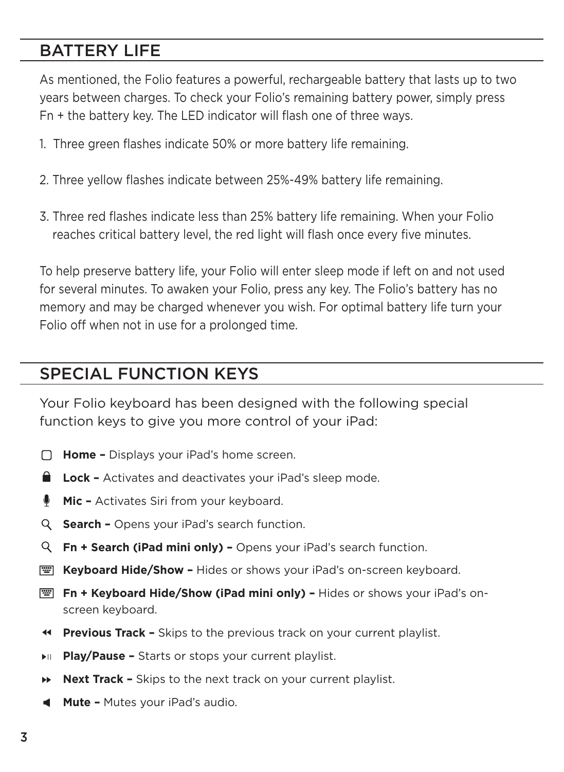#### BATTERY LIFE

As mentioned, the Folio features a powerful, rechargeable battery that lasts up to two years between charges. To check your Folio's remaining battery power, simply press Fn + the battery key. The LED indicator will flash one of three ways.

- 1. Three green flashes indicate 50% or more battery life remaining.
- 2. Three yellow flashes indicate between 25%-49% battery life remaining.
- 3. Three red flashes indicate less than 25% battery life remaining. When your Folio reaches critical battery level, the red light will flash once every five minutes.

To help preserve battery life, your Folio will enter sleep mode if left on and not used for several minutes. To awaken your Folio, press any key. The Folio's battery has no memory and may be charged whenever you wish. For optimal battery life turn your Folio off when not in use for a prolonged time.

#### SPECIAL FUNCTION KEYS

Your Folio keyboard has been designed with the following special function keys to give you more control of your iPad:

- **Home –** Displays your iPad's home screen.
- **Lock** Activates and deactivates your iPad's sleep mode.
- **Mic** Activates Siri from your keyboard. ۰
- **Search** Opens your iPad's search function.
- **Fn + Search (iPad mini only)** Opens your iPad's search function.
- **EXEET Keyboard Hide/Show Hides or shows your iPad's on-screen keyboard.**
- **Fn + Keyboard Hide/Show (iPad mini only)** Hides or shows your iPad's onscreen keyboard.
- **Previous Track** Skips to the previous track on your current playlist.
- **Play/Pause** Starts or stops your current playlist.
- **Next Track** Skips to the next track on your current playlist.
- **Mute** Mutes your iPad's audio.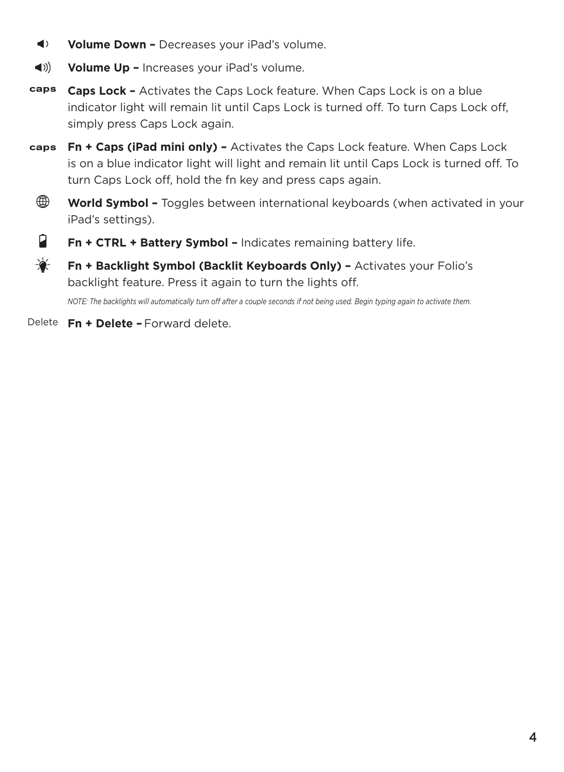- $\blacktriangleleft$ **Volume Down –** Decreases your iPad's volume.
- $\blacktriangleleft$  )) **Volume Up –** Increases your iPad's volume.
- caps **Caps Lock –** Activates the Caps Lock feature. When Caps Lock is on a blue indicator light will remain lit until Caps Lock is turned off. To turn Caps Lock off, simply press Caps Lock again.
- caps **Fn + Caps (iPad mini only) –** Activates the Caps Lock feature. When Caps Lock is on a blue indicator light will light and remain lit until Caps Lock is turned off. To turn Caps Lock off, hold the fn key and press caps again.
- ⊕ **World Symbol –** Toggles between international keyboards (when activated in your iPad's settings).
- Ĥ **Fn + CTRL + Battery Symbol –** Indicates remaining battery life.
- ☀ **Fn + Backlight Symbol (Backlit Keyboards Only) –** Activates your Folio's backlight feature. Press it again to turn the lights off.

*NOTE: The backlights will automatically turn off after a couple seconds if not being used. Begin typing again to activate them.* 

Delete **Fn + Delete –** Forward delete.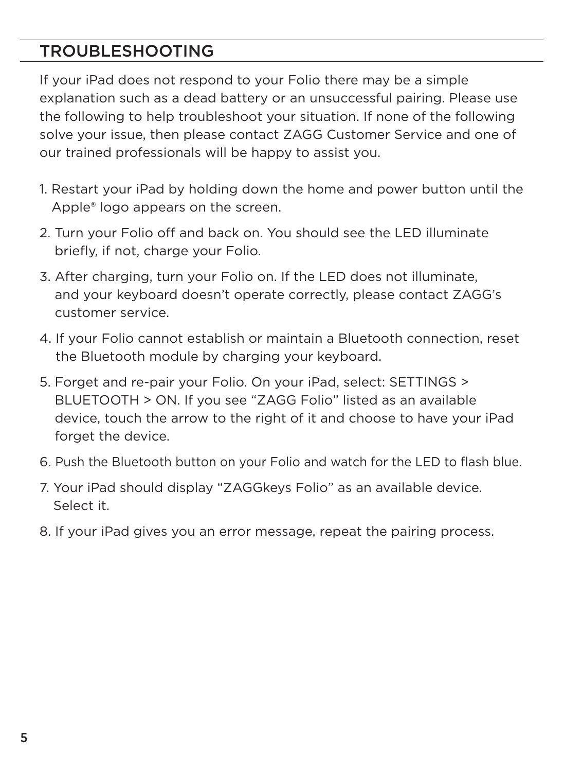#### TROUBLESHOOTING

If your iPad does not respond to your Folio there may be a simple explanation such as a dead battery or an unsuccessful pairing. Please use the following to help troubleshoot your situation. If none of the following solve your issue, then please contact ZAGG Customer Service and one of our trained professionals will be happy to assist you.

- 1. Restart your iPad by holding down the home and power button until the Apple® logo appears on the screen.
- 2. Turn your Folio off and back on. You should see the LED illuminate briefly, if not, charge your Folio.
- 3. After charging, turn your Folio on. If the LED does not illuminate, and your keyboard doesn't operate correctly, please contact ZAGG's customer service.
- 4. If your Folio cannot establish or maintain a Bluetooth connection, reset the Bluetooth module by charging your keyboard.
- 5. Forget and re-pair your Folio. On your iPad, select: SETTINGS > BLUETOOTH > ON. If you see "ZAGG Folio" listed as an available device, touch the arrow to the right of it and choose to have your iPad forget the device.
- 6. Push the Bluetooth button on your Folio and watch for the LED to flash blue.
- 7. Your iPad should display "ZAGGkeys Folio" as an available device. Select it.
- 8. If your iPad gives you an error message, repeat the pairing process.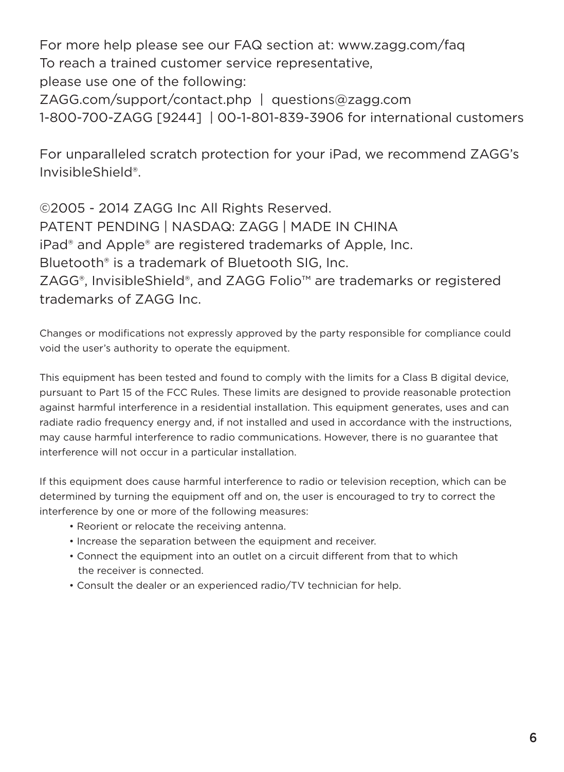For more help please see our FAQ section at: www.zagg.com/faq To reach a trained customer service representative, please use one of the following: ZAGG.com/support/contact.php | questions@zagg.com 1-800-700-ZAGG [9244] | 00-1-801-839-3906 for international customers

For unparalleled scratch protection for your iPad, we recommend ZAGG's InvisibleShield®.

©2005 - 2014 ZAGG Inc All Rights Reserved. PATENT PENDING | NASDAQ: ZAGG | MADE IN CHINA iPad® and Apple® are registered trademarks of Apple, Inc. Bluetooth® is a trademark of Bluetooth SIG, Inc. ZAGG®, InvisibleShield®, and ZAGG Folio™ are trademarks or registered trademarks of ZAGG Inc.

Changes or modifications not expressly approved by the party responsible for compliance could void the user's authority to operate the equipment.

This equipment has been tested and found to comply with the limits for a Class B digital device, pursuant to Part 15 of the FCC Rules. These limits are designed to provide reasonable protection against harmful interference in a residential installation. This equipment generates, uses and can radiate radio frequency energy and, if not installed and used in accordance with the instructions, may cause harmful interference to radio communications. However, there is no guarantee that interference will not occur in a particular installation.

If this equipment does cause harmful interference to radio or television reception, which can be determined by turning the equipment off and on, the user is encouraged to try to correct the interference by one or more of the following measures:

- Reorient or relocate the receiving antenna.
- Increase the separation between the equipment and receiver.
- Connect the equipment into an outlet on a circuit different from that to which the receiver is connected.
- Consult the dealer or an experienced radio/TV technician for help.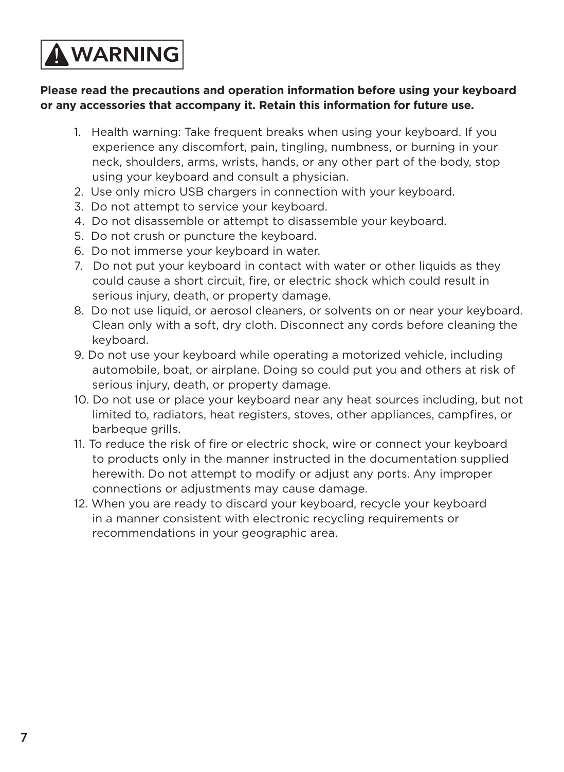## **AWARNING**

#### **Please read the precautions and operation information before using your keyboard or any accessories that accompany it. Retain this information for future use.**

- 1. Health warning: Take frequent breaks when using your keyboard. If you experience any discomfort, pain, tingling, numbness, or burning in your neck, shoulders, arms, wrists, hands, or any other part of the body, stop using your keyboard and consult a physician.
- 2. Use only micro USB chargers in connection with your keyboard.
- 3. Do not attempt to service your keyboard.
- 4. Do not disassemble or attempt to disassemble your keyboard.
- 5. Do not crush or puncture the keyboard.
- 6. Do not immerse your keyboard in water.
- 7. Do not put your keyboard in contact with water or other liquids as they could cause a short circuit, fire, or electric shock which could result in serious injury, death, or property damage.
- 8. Do not use liquid, or aerosol cleaners, or solvents on or near your keyboard. Clean only with a soft, dry cloth. Disconnect any cords before cleaning the keyboard.
- 9. Do not use your keyboard while operating a motorized vehicle, including automobile, boat, or airplane. Doing so could put you and others at risk of serious injury, death, or property damage.
- 10. Do not use or place your keyboard near any heat sources including, but not limited to, radiators, heat registers, stoves, other appliances, campfires, or barbeque grills.
- 11. To reduce the risk of fire or electric shock, wire or connect your keyboard to products only in the manner instructed in the documentation supplied herewith. Do not attempt to modify or adjust any ports. Any improper connections or adjustments may cause damage.
- 12. When you are ready to discard your keyboard, recycle your keyboard in a manner consistent with electronic recycling requirements or recommendations in your geographic area.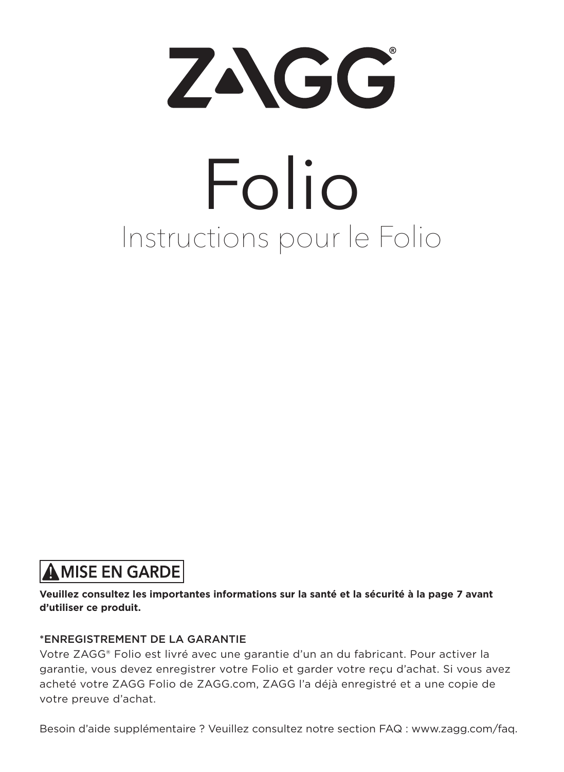

# Instructions pour le Folio Folio

### **AMISE EN GARDE**

**Veuillez consultez les importantes informations sur la santé et la sécurité à la page 7 avant d'utiliser ce produit.**

#### \*ENREGISTREMENT DE LA GARANTIE

Votre ZAGG® Folio est livré avec une garantie d'un an du fabricant. Pour activer la garantie, vous devez enregistrer votre Folio et garder votre reçu d'achat. Si vous avez acheté votre ZAGG Folio de ZAGG.com, ZAGG l'a déjà enregistré et a une copie de votre preuve d'achat.

Besoin d'aide supplémentaire ? Veuillez consultez notre section FAQ : www.zagg.com/faq.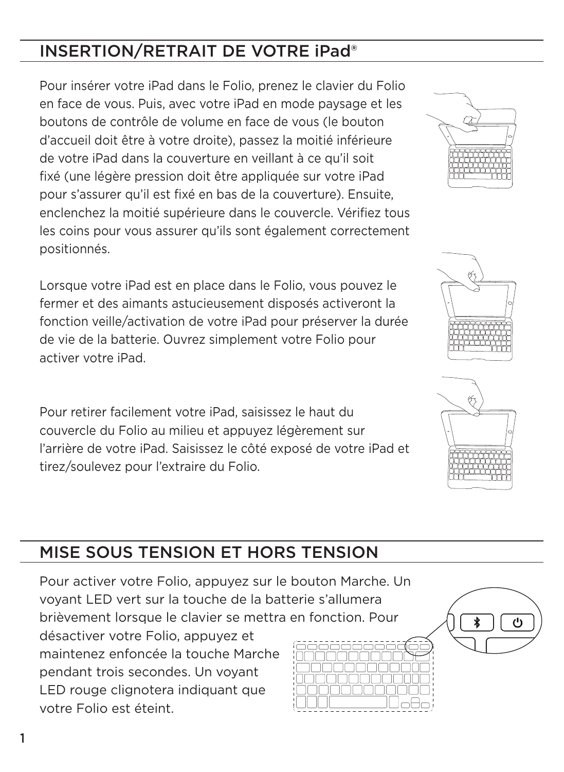### INSERTION/RETRAIT DE VOTRE iPad®

Pour insérer votre iPad dans le Folio, prenez le clavier du Folio en face de vous. Puis, avec votre iPad en mode paysage et les boutons de contrôle de volume en face de vous (le bouton d'accueil doit être à votre droite), passez la moitié inférieure de votre iPad dans la couverture en veillant à ce qu'il soit fixé (une légère pression doit être appliquée sur votre iPad pour s'assurer qu'il est fixé en bas de la couverture). Ensuite, enclenchez la moitié supérieure dans le couvercle. Vérifiez tous les coins pour vous assurer qu'ils sont également correctement positionnés.

Lorsque votre iPad est en place dans le Folio, vous pouvez le fermer et des aimants astucieusement disposés activeront la fonction veille/activation de votre iPad pour préserver la durée de vie de la batterie. Ouvrez simplement votre Folio pour activer votre iPad.

Pour retirer facilement votre iPad, saisissez le haut du couvercle du Folio au milieu et appuyez légèrement sur l'arrière de votre iPad. Saisissez le côté exposé de votre iPad et tirez/soulevez pour l'extraire du Folio.

## MISE SOUS TENSION ET HORS TENSION

Pour activer votre Folio, appuyez sur le bouton Marche. Un voyant LED vert sur la touche de la batterie s'allumera brièvement lorsque le clavier se mettra en fonction. Pour désactiver votre Folio, appuyez et maintenez enfoncée la touche Marche pendant trois secondes. Un voyant LED rouge clignotera indiquant que votre Folio est éteint.







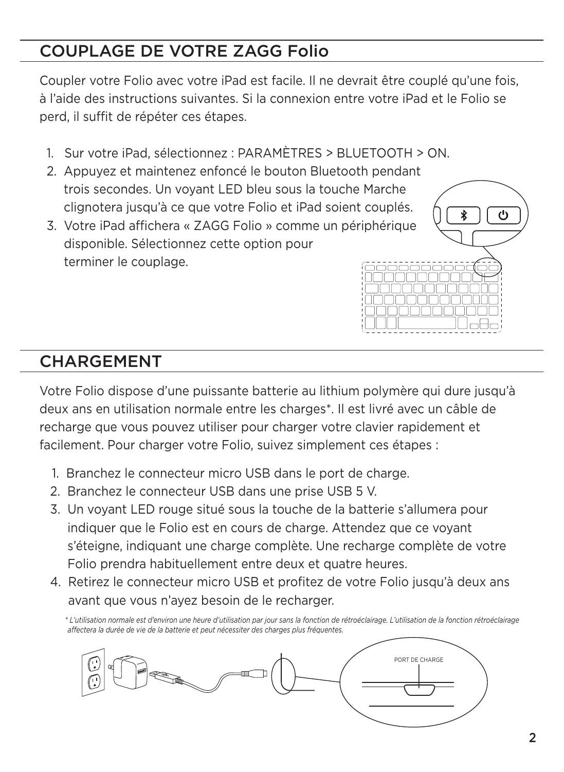## COUPLAGE DE VOTRE ZAGG Folio

Coupler votre Folio avec votre iPad est facile. Il ne devrait être couplé qu'une fois, à l'aide des instructions suivantes. Si la connexion entre votre iPad et le Folio se perd, il suffit de répéter ces étapes.

- 1. Sur votre iPad, sélectionnez : PARAMÈTRES > BLUETOOTH > ON.
- 2. Appuyez et maintenez enfoncé le bouton Bluetooth pendant trois secondes. Un voyant LED bleu sous la touche Marche clignotera jusqu'à ce que votre Folio et iPad soient couplés.
- 3. Votre iPad affichera « ZAGG Folio » comme un périphérique disponible. Sélectionnez cette option pour terminer le couplage.



Votre Folio dispose d'une puissante batterie au lithium polymère qui dure jusqu'à deux ans en utilisation normale entre les charges\*. Il est livré avec un câble de recharge que vous pouvez utiliser pour charger votre clavier rapidement et facilement. Pour charger votre Folio, suivez simplement ces étapes :

- 1. Branchez le connecteur micro USB dans le port de charge.
- 2. Branchez le connecteur USB dans une prise USB 5 V.
- 3. Un voyant LED rouge situé sous la touche de la batterie s'allumera pour indiquer que le Folio est en cours de charge. Attendez que ce voyant s'éteigne, indiquant une charge complète. Une recharge complète de votre Folio prendra habituellement entre deux et quatre heures.
- 4. Retirez le connecteur micro USB et profitez de votre Folio jusqu'à deux ans avant que vous n'ayez besoin de le recharger.

 *\* L'utilisation normale est d'environ une heure d'utilisation par jour sans la fonction de rétroéclairage. L'utilisation de la fonction rétroéclairage affectera la durée de vie de la batterie et peut nécessiter des charges plus fréquentes.*



ტ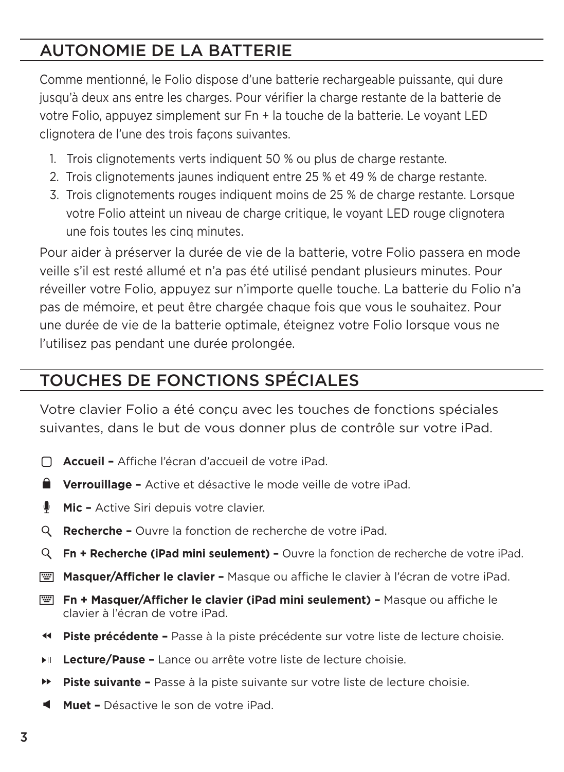#### AUTONOMIE DE LA BATTERIE

Comme mentionné, le Folio dispose d'une batterie rechargeable puissante, qui dure jusqu'à deux ans entre les charges. Pour vérifier la charge restante de la batterie de votre Folio, appuyez simplement sur Fn + la touche de la batterie. Le voyant LED clignotera de l'une des trois façons suivantes.

- 1. Trois clignotements verts indiquent 50 % ou plus de charge restante.
- 2. Trois clignotements jaunes indiquent entre 25 % et 49 % de charge restante.
- 3. Trois clignotements rouges indiquent moins de 25 % de charge restante. Lorsque votre Folio atteint un niveau de charge critique, le voyant LED rouge clignotera une fois toutes les cinq minutes.

Pour aider à préserver la durée de vie de la batterie, votre Folio passera en mode veille s'il est resté allumé et n'a pas été utilisé pendant plusieurs minutes. Pour réveiller votre Folio, appuyez sur n'importe quelle touche. La batterie du Folio n'a pas de mémoire, et peut être chargée chaque fois que vous le souhaitez. Pour une durée de vie de la batterie optimale, éteignez votre Folio lorsque vous ne l'utilisez pas pendant une durée prolongée.

## TOUCHES DE FONCTIONS SPÉCIALES

Votre clavier Folio a été conçu avec les touches de fonctions spéciales suivantes, dans le but de vous donner plus de contrôle sur votre iPad.

- **Accueil** Affiche l'écran d'accueil de votre iPad.
- **Verrouillage** Active et désactive le mode veille de votre iPad.
- ٠ **Mic –** Active Siri depuis votre clavier.
- **Recherche** Ouvre la fonction de recherche de votre iPad.
- **Fn + Recherche (iPad mini seulement)** Ouvre la fonction de recherche de votre iPad.
- **E Masquer/Afficher le clavier -** Masque ou affiche le clavier à l'écran de votre iPad.
- **Fn + Masquer/Afficher le clavier (iPad mini seulement)** Masque ou affiche le clavier à l'écran de votre iPad.
- **Piste précédente** Passe à la piste précédente sur votre liste de lecture choisie.
- **Lecture/Pause** Lance ou arrête votre liste de lecture choisie. нπ
- ÞÞ. **Piste suivante –** Passe à la piste suivante sur votre liste de lecture choisie.
- **Muet** Désactive le son de votre iPad.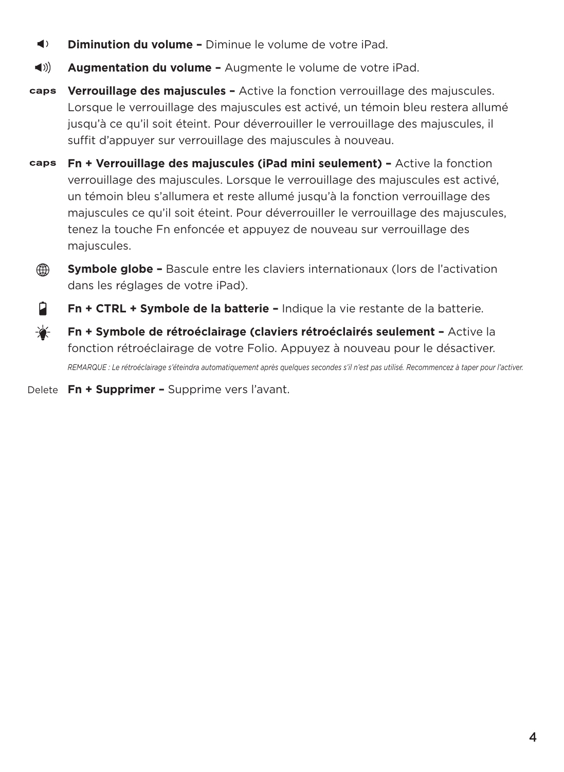- $\blacktriangleleft$ **Diminution du volume –** Diminue le volume de votre iPad.
- $\blacktriangleleft$  )) **Augmentation du volume –** Augmente le volume de votre iPad.
- caps **Verrouillage des majuscules –** Active la fonction verrouillage des majuscules. Lorsque le verrouillage des majuscules est activé, un témoin bleu restera allumé jusqu'à ce qu'il soit éteint. Pour déverrouiller le verrouillage des majuscules, il suffit d'appuyer sur verrouillage des majuscules à nouveau.
- caps **Fn + Verrouillage des majuscules (iPad mini seulement) –** Active la fonction verrouillage des majuscules. Lorsque le verrouillage des majuscules est activé, un témoin bleu s'allumera et reste allumé jusqu'à la fonction verrouillage des majuscules ce qu'il soit éteint. Pour déverrouiller le verrouillage des majuscules, tenez la touche Fn enfoncée et appuyez de nouveau sur verrouillage des majuscules.
	- ⊕ **Symbole globe –** Bascule entre les claviers internationaux (lors de l'activation dans les réglages de votre iPad).
	- Ĥ. **Fn + CTRL + Symbole de la batterie –** Indique la vie restante de la batterie.
- ₩ **Fn + Symbole de rétroéclairage (claviers rétroéclairés seulement –** Active la fonction rétroéclairage de votre Folio. Appuyez à nouveau pour le désactiver. *REMARQUE : Le rétroéclairage s'éteindra automatiquement après quelques secondes s'il n'est pas utilisé. Recommencez à taper pour l'activer.*
- Delete **Fn + Supprimer** Supprime vers l'avant.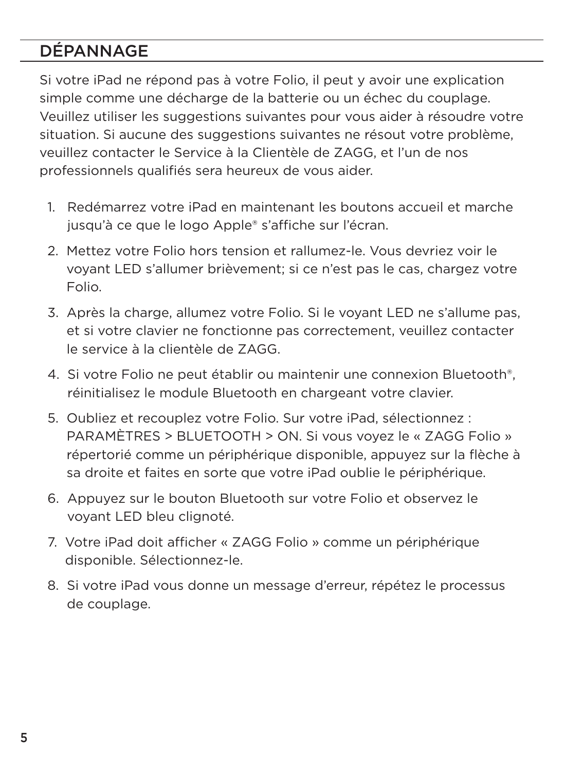### DÉPANNAGE

Si votre iPad ne répond pas à votre Folio, il peut y avoir une explication simple comme une décharge de la batterie ou un échec du couplage. Veuillez utiliser les suggestions suivantes pour vous aider à résoudre votre situation. Si aucune des suggestions suivantes ne résout votre problème, veuillez contacter le Service à la Clientèle de ZAGG, et l'un de nos professionnels qualifiés sera heureux de vous aider.

- 1. Redémarrez votre iPad en maintenant les boutons accueil et marche jusqu'à ce que le logo Apple® s'affiche sur l'écran.
- 2. Mettez votre Folio hors tension et rallumez-le. Vous devriez voir le voyant LED s'allumer brièvement; si ce n'est pas le cas, chargez votre Folio.
- 3. Après la charge, allumez votre Folio. Si le voyant LED ne s'allume pas, et si votre clavier ne fonctionne pas correctement, veuillez contacter le service à la clientèle de ZAGG.
- 4. Si votre Folio ne peut établir ou maintenir une connexion Bluetooth®, réinitialisez le module Bluetooth en chargeant votre clavier.
- 5. Oubliez et recouplez votre Folio. Sur votre iPad, sélectionnez : PARAMÈTRES > BLUETOOTH > ON. Si vous voyez le « ZAGG Folio » répertorié comme un périphérique disponible, appuyez sur la flèche à sa droite et faites en sorte que votre iPad oublie le périphérique.
- 6. Appuyez sur le bouton Bluetooth sur votre Folio et observez le voyant LED bleu clignoté.
- 7. Votre iPad doit afficher « ZAGG Folio » comme un périphérique disponible. Sélectionnez-le.
- 8. Si votre iPad vous donne un message d'erreur, répétez le processus de couplage.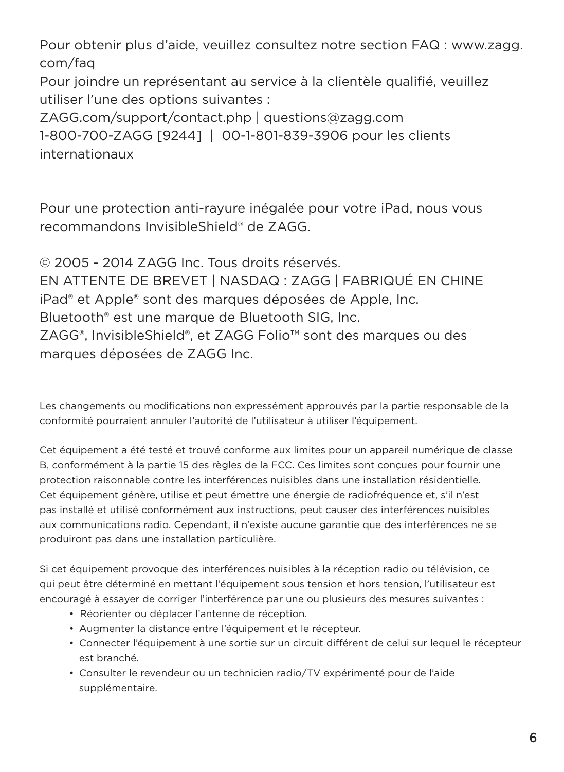Pour obtenir plus d'aide, veuillez consultez notre section FAQ : www.zagg. com/faq

Pour joindre un représentant au service à la clientèle qualifié, veuillez utiliser l'une des options suivantes :

ZAGG.com/support/contact.php | questions@zagg.com 1-800-700-ZAGG [9244] | 00-1-801-839-3906 pour les clients internationaux

Pour une protection anti-rayure inégalée pour votre iPad, nous vous recommandons InvisibleShield® de ZAGG.

© 2005 - 2014 ZAGG Inc. Tous droits réservés. EN ATTENTE DE BREVET | NASDAQ : ZAGG | FABRIQUÉ EN CHINE iPad® et Apple® sont des marques déposées de Apple, Inc. Bluetooth® est une marque de Bluetooth SIG, Inc. ZAGG®, InvisibleShield®, et ZAGG Folio™ sont des marques ou des marques déposées de ZAGG Inc.

Les changements ou modifications non expressément approuvés par la partie responsable de la conformité pourraient annuler l'autorité de l'utilisateur à utiliser l'équipement.

Cet équipement a été testé et trouvé conforme aux limites pour un appareil numérique de classe B, conformément à la partie 15 des règles de la FCC. Ces limites sont conçues pour fournir une protection raisonnable contre les interférences nuisibles dans une installation résidentielle. Cet équipement génère, utilise et peut émettre une énergie de radiofréquence et, s'il n'est pas installé et utilisé conformément aux instructions, peut causer des interférences nuisibles aux communications radio. Cependant, il n'existe aucune garantie que des interférences ne se produiront pas dans une installation particulière.

Si cet équipement provoque des interférences nuisibles à la réception radio ou télévision, ce qui peut être déterminé en mettant l'équipement sous tension et hors tension, l'utilisateur est encouragé à essayer de corriger l'interférence par une ou plusieurs des mesures suivantes :

- Réorienter ou déplacer l'antenne de réception.
- Augmenter la distance entre l'équipement et le récepteur.
- Connecter l'équipement à une sortie sur un circuit différent de celui sur lequel le récepteur est branché.
- Consulter le revendeur ou un technicien radio/TV expérimenté pour de l'aide supplémentaire.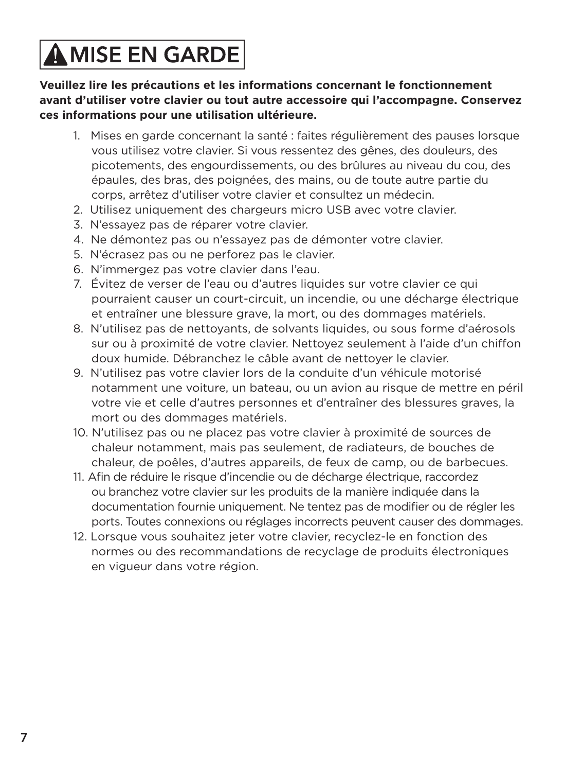## **AMISE EN GARDE**

**Veuillez lire les précautions et les informations concernant le fonctionnement avant d'utiliser votre clavier ou tout autre accessoire qui l'accompagne. Conservez ces informations pour une utilisation ultérieure.**

- 1. Mises en garde concernant la santé : faites régulièrement des pauses lorsque vous utilisez votre clavier. Si vous ressentez des gênes, des douleurs, des picotements, des engourdissements, ou des brûlures au niveau du cou, des épaules, des bras, des poignées, des mains, ou de toute autre partie du corps, arrêtez d'utiliser votre clavier et consultez un médecin.
- 2. Utilisez uniquement des chargeurs micro USB avec votre clavier.
- 3. N'essayez pas de réparer votre clavier.
- 4. Ne démontez pas ou n'essayez pas de démonter votre clavier.
- 5. N'écrasez pas ou ne perforez pas le clavier.
- 6. N'immergez pas votre clavier dans l'eau.
- 7. Évitez de verser de l'eau ou d'autres liquides sur votre clavier ce qui pourraient causer un court-circuit, un incendie, ou une décharge électrique et entraîner une blessure grave, la mort, ou des dommages matériels.
- 8. N'utilisez pas de nettoyants, de solvants liquides, ou sous forme d'aérosols sur ou à proximité de votre clavier. Nettoyez seulement à l'aide d'un chiffon doux humide. Débranchez le câble avant de nettoyer le clavier.
- 9. N'utilisez pas votre clavier lors de la conduite d'un véhicule motorisé notamment une voiture, un bateau, ou un avion au risque de mettre en péril votre vie et celle d'autres personnes et d'entraîner des blessures graves, la mort ou des dommages matériels.
- 10. N'utilisez pas ou ne placez pas votre clavier à proximité de sources de chaleur notamment, mais pas seulement, de radiateurs, de bouches de chaleur, de poêles, d'autres appareils, de feux de camp, ou de barbecues.
- 11. Afin de réduire le risque d'incendie ou de décharge électrique, raccordez ou branchez votre clavier sur les produits de la manière indiquée dans la documentation fournie uniquement. Ne tentez pas de modifier ou de régler les ports. Toutes connexions ou réglages incorrects peuvent causer des dommages.
- 12. Lorsque vous souhaitez jeter votre clavier, recyclez-le en fonction des normes ou des recommandations de recyclage de produits électroniques en vigueur dans votre région.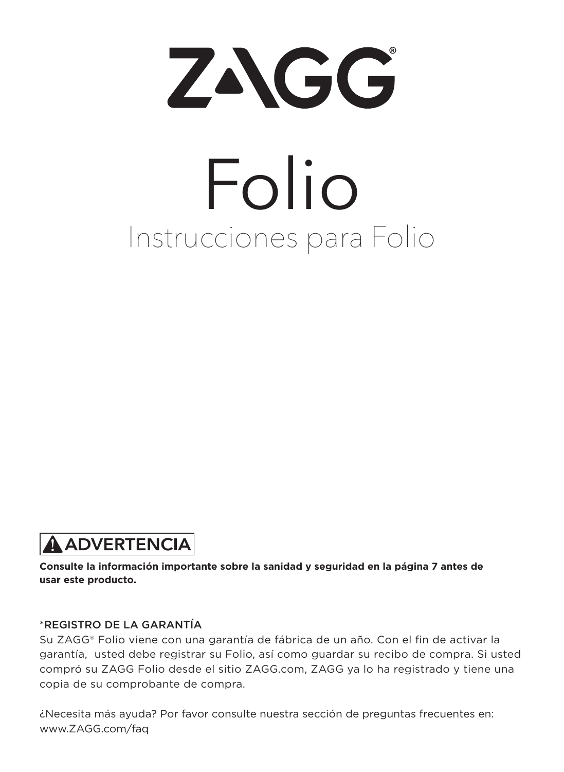

# Instrucciones para Folio Folio

## **A ADVERTENCIA**

**Consulte la información importante sobre la sanidad y seguridad en la página 7 antes de usar este producto.**

#### \*REGISTRO DE LA GARANTÍA

Su ZAGG® Folio viene con una garantía de fábrica de un año. Con el fin de activar la garantía, usted debe registrar su Folio, así como guardar su recibo de compra. Si usted compró su ZAGG Folio desde el sitio ZAGG.com, ZAGG ya lo ha registrado y tiene una copia de su comprobante de compra.

¿Necesita más ayuda? Por favor consulte nuestra sección de preguntas frecuentes en: www.ZAGG.com/faq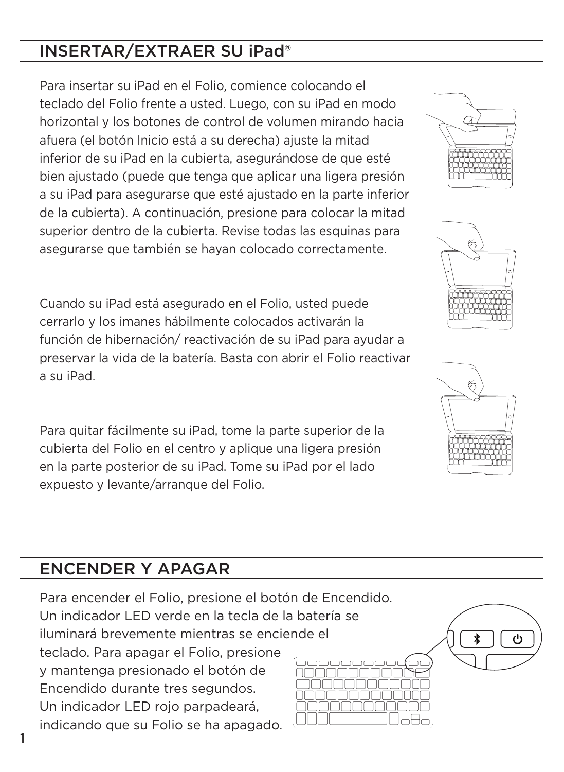#### INSERTAR/EXTRAER SU iPad®

Para insertar su iPad en el Folio, comience colocando el teclado del Folio frente a usted. Luego, con su iPad en modo horizontal y los botones de control de volumen mirando hacia afuera (el botón Inicio está a su derecha) ajuste la mitad inferior de su iPad en la cubierta, asegurándose de que esté bien ajustado (puede que tenga que aplicar una ligera presión a su iPad para asegurarse que esté ajustado en la parte inferior de la cubierta). A continuación, presione para colocar la mitad superior dentro de la cubierta. Revise todas las esquinas para asegurarse que también se hayan colocado correctamente.

Cuando su iPad está asegurado en el Folio, usted puede cerrarlo y los imanes hábilmente colocados activarán la función de hibernación/ reactivación de su iPad para ayudar a preservar la vida de la batería. Basta con abrir el Folio reactivar a su iPad.

Para quitar fácilmente su iPad, tome la parte superior de la cubierta del Folio en el centro y aplique una ligera presión en la parte posterior de su iPad. Tome su iPad por el lado expuesto y levante/arranque del Folio.

#### ENCENDER Y APAGAR

Para encender el Folio, presione el botón de Encendido. Un indicador LED verde en la tecla de la batería se iluminará brevemente mientras se enciende el teclado. Para apagar el Folio, presione y mantenga presionado el botón de Encendido durante tres segundos. Un indicador LED rojo parpadeará, indicando que su Folio se ha apagado.







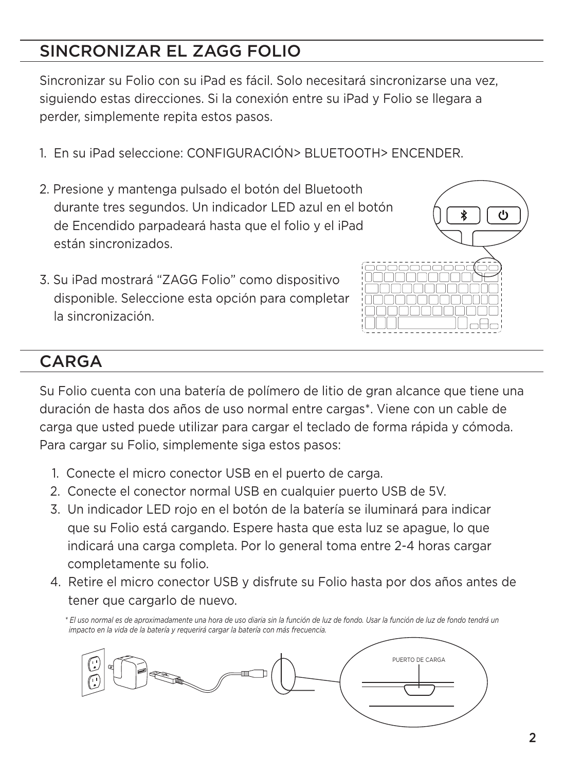#### SINCRONIZAR EL ZAGG FOLIO

Sincronizar su Folio con su iPad es fácil. Solo necesitará sincronizarse una vez, siguiendo estas direcciones. Si la conexión entre su iPad y Folio se llegara a perder, simplemente repita estos pasos.

- 1. En su iPad seleccione: CONFIGURACIÓN> BLUETOOTH> ENCENDER.
- 2. Presione y mantenga pulsado el botón del Bluetooth durante tres segundos. Un indicador LED azul en el botón de Encendido parpadeará hasta que el folio y el iPad están sincronizados.
- 3. Su iPad mostrará "ZAGG Folio" como dispositivo disponible. Seleccione esta opción para completar la sincronización.



#### CARGA

Su Folio cuenta con una batería de polímero de litio de gran alcance que tiene una duración de hasta dos años de uso normal entre cargas\*. Viene con un cable de carga que usted puede utilizar para cargar el teclado de forma rápida y cómoda. Para cargar su Folio, simplemente siga estos pasos:

- 1. Conecte el micro conector USB en el puerto de carga.
- 2. Conecte el conector normal USB en cualquier puerto USB de 5V.
- 3. Un indicador LED rojo en el botón de la batería se iluminará para indicar que su Folio está cargando. Espere hasta que esta luz se apague, lo que indicará una carga completa. Por lo general toma entre 2-4 horas cargar completamente su folio.
- 4. Retire el micro conector USB y disfrute su Folio hasta por dos años antes de tener que cargarlo de nuevo.

 *\* El uso normal es de aproximadamente una hora de uso diaria sin la función de luz de fondo. Usar la función de luz de fondo tendrá un impacto en la vida de la batería y requerirá cargar la batería con más frecuencia.*

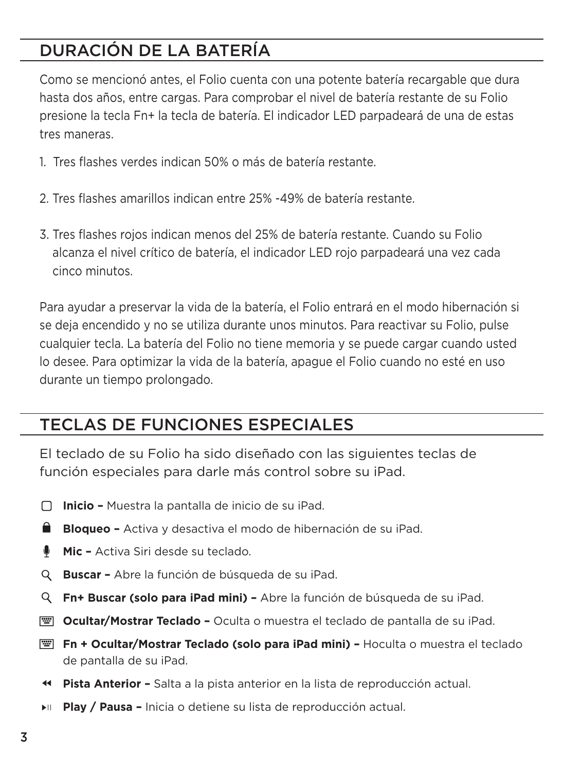## DURACIÓN DE LA BATERÍA

Como se mencionó antes, el Folio cuenta con una potente batería recargable que dura hasta dos años, entre cargas. Para comprobar el nivel de batería restante de su Folio presione la tecla Fn+ la tecla de batería. El indicador LED parpadeará de una de estas tres maneras.

- 1. Tres flashes verdes indican 50% o más de batería restante.
- 2. Tres flashes amarillos indican entre 25% -49% de batería restante.
- 3. Tres flashes rojos indican menos del 25% de batería restante. Cuando su Folio alcanza el nivel crítico de batería, el indicador LED rojo parpadeará una vez cada cinco minutos.

Para ayudar a preservar la vida de la batería, el Folio entrará en el modo hibernación si se deja encendido y no se utiliza durante unos minutos. Para reactivar su Folio, pulse cualquier tecla. La batería del Folio no tiene memoria y se puede cargar cuando usted lo desee. Para optimizar la vida de la batería, apague el Folio cuando no esté en uso durante un tiempo prolongado.

#### TECLAS DE FUNCIONES ESPECIALES

El teclado de su Folio ha sido diseñado con las siguientes teclas de función especiales para darle más control sobre su iPad.

- **Inicio –** Muestra la pantalla de inicio de su iPad.
- **Bloqueo –** Activa y desactiva el modo de hibernación de su iPad.
- **Mic** Activa Siri desde su teclado.
- **Buscar** Abre la función de búsqueda de su iPad.
- **Fn+ Buscar (solo para iPad mini)** Abre la función de búsqueda de su iPad.
- **E Ocultar/Mostrar Teclado -** Oculta o muestra el teclado de pantalla de su iPad.
- **Fn + Ocultar/Mostrar Teclado (solo para iPad mini)** Hoculta o muestra el teclado de pantalla de su iPad.
- **Pista Anterior** Salta a la pista anterior en la lista de reproducción actual.
- **Play / Pausa** Inicia o detiene su lista de reproducción actual.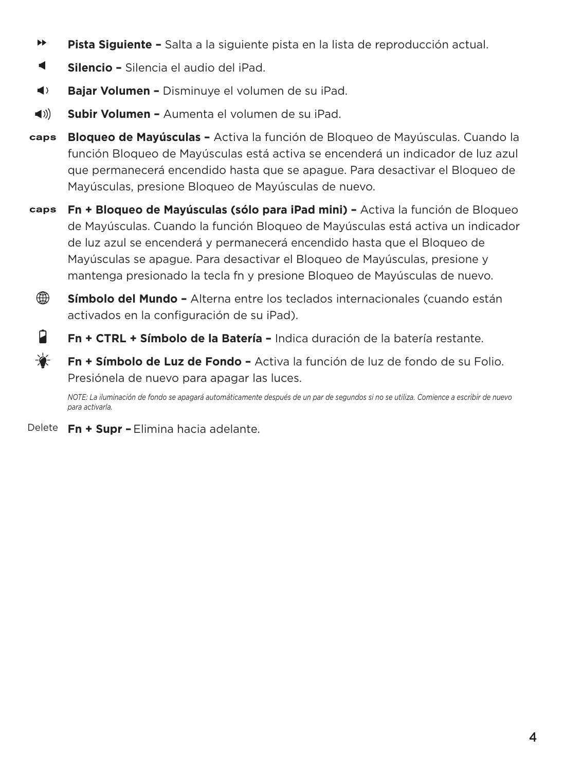- ÞÞ. **Pista Siguiente –** Salta a la siguiente pista en la lista de reproducción actual.
- $\blacksquare$ **Silencio –** Silencia el audio del iPad.
- $\blacktriangleleft$ **Bajar Volumen –** Disminuye el volumen de su iPad.
- **Subir Volumen** Aumenta el volumen de su iPad.  $\blacktriangleleft$  ))
- caps **Bloqueo de Mayúsculas –** Activa la función de Bloqueo de Mayúsculas. Cuando la función Bloqueo de Mayúsculas está activa se encenderá un indicador de luz azul que permanecerá encendido hasta que se apague. Para desactivar el Bloqueo de Mayúsculas, presione Bloqueo de Mayúsculas de nuevo.
- **Fn + Bloqueo de Mayúsculas (sólo para iPad mini)** Activa la función de Bloqueo caps de Mayúsculas. Cuando la función Bloqueo de Mayúsculas está activa un indicador de luz azul se encenderá y permanecerá encendido hasta que el Bloqueo de Mayúsculas se apague. Para desactivar el Bloqueo de Mayúsculas, presione y mantenga presionado la tecla fn y presione Bloqueo de Mayúsculas de nuevo.
	- ⊕

**Símbolo del Mundo –** Alterna entre los teclados internacionales (cuando están activados en la configuración de su iPad).

- Ĥ. **Fn + CTRL + Símbolo de la Batería –** Indica duración de la batería restante.
- ₩ **Fn + Símbolo de Luz de Fondo –** Activa la función de luz de fondo de su Folio. Presiónela de nuevo para apagar las luces.

*NOTE: La iluminación de fondo se apagará automáticamente después de un par de segundos si no se utiliza. Comience a escribir de nuevo para activarla.*

Delete **Fn + Supr –** Elimina hacia adelante.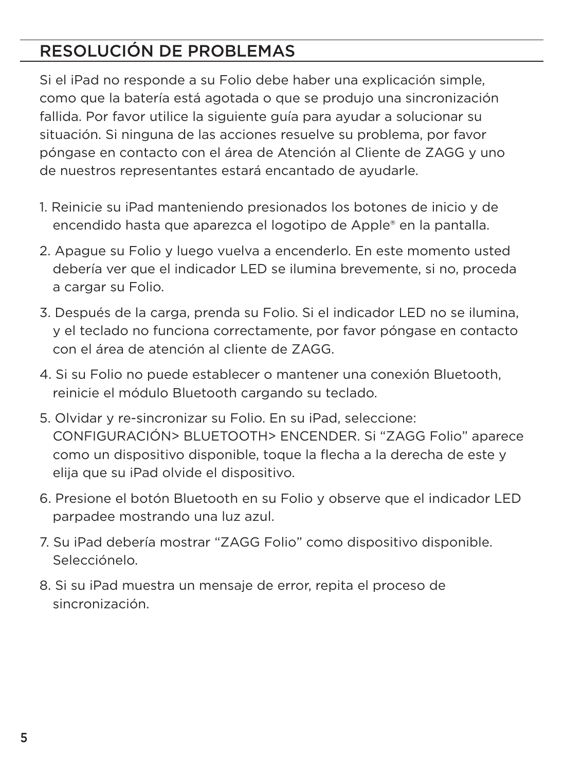### RESOLUCIÓN DE PROBLEMAS

Si el iPad no responde a su Folio debe haber una explicación simple, como que la batería está agotada o que se produjo una sincronización fallida. Por favor utilice la siguiente guía para ayudar a solucionar su situación. Si ninguna de las acciones resuelve su problema, por favor póngase en contacto con el área de Atención al Cliente de ZAGG y uno de nuestros representantes estará encantado de ayudarle.

- 1. Reinicie su iPad manteniendo presionados los botones de inicio y de encendido hasta que aparezca el logotipo de Apple® en la pantalla.
- 2. Apague su Folio y luego vuelva a encenderlo. En este momento usted debería ver que el indicador LED se ilumina brevemente, si no, proceda a cargar su Folio.
- 3. Después de la carga, prenda su Folio. Si el indicador LED no se ilumina, y el teclado no funciona correctamente, por favor póngase en contacto con el área de atención al cliente de ZAGG.
- 4. Si su Folio no puede establecer o mantener una conexión Bluetooth, reinicie el módulo Bluetooth cargando su teclado.
- 5. Olvidar y re-sincronizar su Folio. En su iPad, seleccione: CONFIGURACIÓN> BLUETOOTH> ENCENDER. Si "ZAGG Folio" aparece como un dispositivo disponible, toque la flecha a la derecha de este y elija que su iPad olvide el dispositivo.
- 6. Presione el botón Bluetooth en su Folio y observe que el indicador LED parpadee mostrando una luz azul.
- 7. Su iPad debería mostrar "ZAGG Folio" como dispositivo disponible. Selecciónelo.
- 8. Si su iPad muestra un mensaje de error, repita el proceso de sincronización.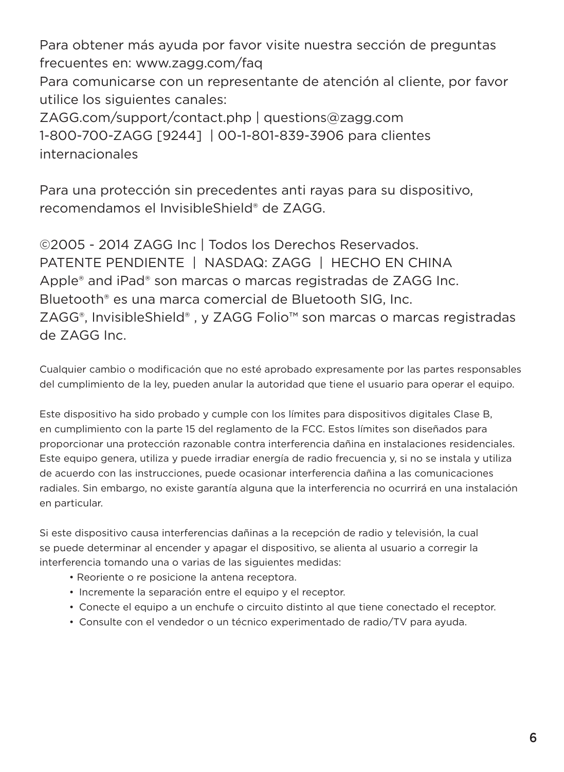Para obtener más ayuda por favor visite nuestra sección de preguntas frecuentes en: www.zagg.com/faq

Para comunicarse con un representante de atención al cliente, por favor utilice los siguientes canales:

ZAGG.com/support/contact.php | questions@zagg.com 1-800-700-ZAGG [9244] | 00-1-801-839-3906 para clientes internacionales

Para una protección sin precedentes anti rayas para su dispositivo, recomendamos el InvisibleShield® de ZAGG.

©2005 - 2014 ZAGG Inc | Todos los Derechos Reservados. PATENTE PENDIENTE | NASDAQ: ZAGG | HECHO EN CHINA Apple® and iPad® son marcas o marcas registradas de ZAGG Inc. Bluetooth® es una marca comercial de Bluetooth SIG, Inc. ZAGG®, InvisibleShield® , y ZAGG Folio™ son marcas o marcas registradas de ZAGG Inc.

Cualquier cambio o modificación que no esté aprobado expresamente por las partes responsables del cumplimiento de la ley, pueden anular la autoridad que tiene el usuario para operar el equipo.

Este dispositivo ha sido probado y cumple con los límites para dispositivos digitales Clase B, en cumplimiento con la parte 15 del reglamento de la FCC. Estos límites son diseñados para proporcionar una protección razonable contra interferencia dañina en instalaciones residenciales. Este equipo genera, utiliza y puede irradiar energía de radio frecuencia y, si no se instala y utiliza de acuerdo con las instrucciones, puede ocasionar interferencia dañina a las comunicaciones radiales. Sin embargo, no existe garantía alguna que la interferencia no ocurrirá en una instalación en particular.

Si este dispositivo causa interferencias dañinas a la recepción de radio y televisión, la cual se puede determinar al encender y apagar el dispositivo, se alienta al usuario a corregir la interferencia tomando una o varias de las siguientes medidas:

- Reoriente o re posicione la antena receptora.
- Incremente la separación entre el equipo y el receptor.
- Conecte el equipo a un enchufe o circuito distinto al que tiene conectado el receptor.
- Consulte con el vendedor o un técnico experimentado de radio/TV para ayuda.